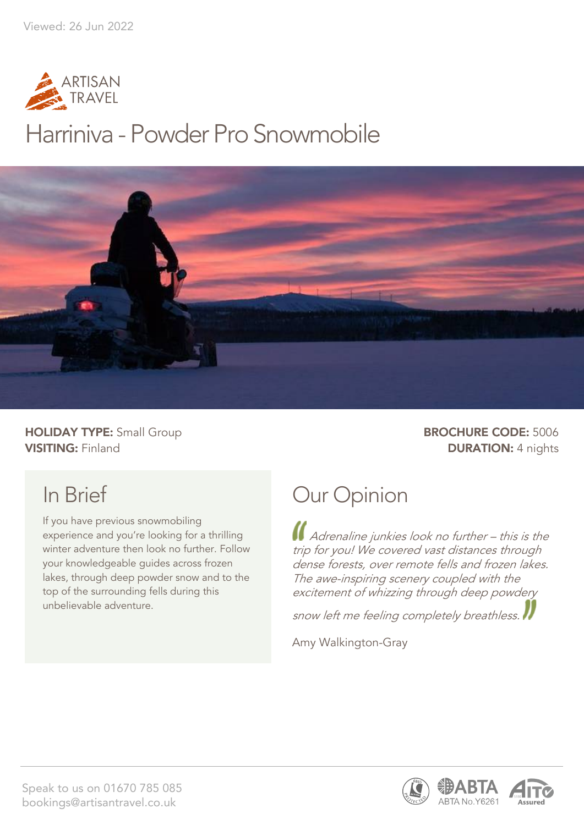

## Harriniva - Powder Pro Snowmobile



**HOLIDAY TYPE:** Small Group **BROCHURE CODE:** 5006 **VISITING:** Finland **DURATION:** 4 nights

## In Brief

If you have previous snowmobiling experience and you're looking for a thrilling winter adventure then look no further. Follow your knowledgeable guides across frozen lakes, through deep powder snow and to the top of the surrounding fells during this unbelievable adventure.

## Our Opinion

Adrenaline junkies look no further – this is the trip for you! We covered vast distances through dense forests, over remote fells and frozen lakes. The awe-inspiring scenery coupled with the excitement of whizzing through deep powdery

snow left me feeling completely breathless.

Amy Walkington-Gray



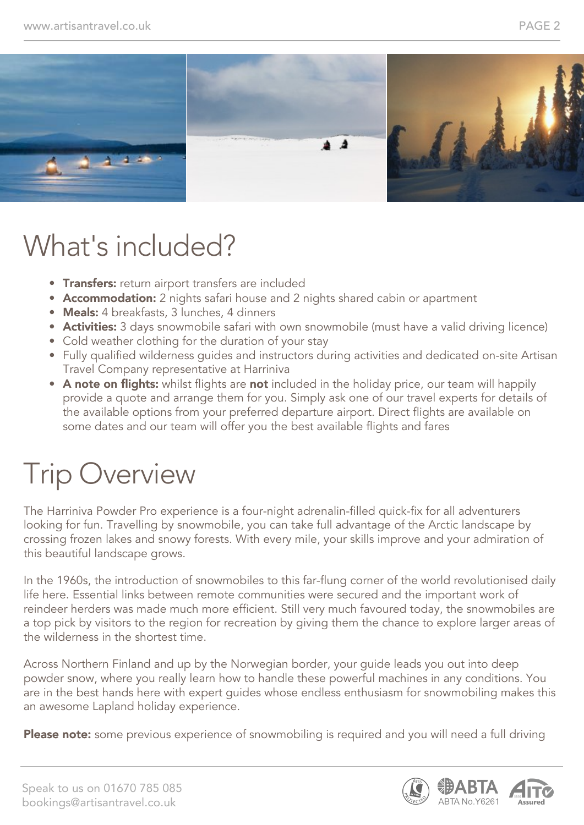

## What's included?

- Transfers: return airport transfers are included
- Accommodation: 2 nights safari house and 2 nights shared cabin or apartment
- Meals: 4 breakfasts, 3 lunches, 4 dinners
- **Activities:** 3 days snowmobile safari with own snowmobile (must have a valid driving licence)
- Cold weather clothing for the duration of your stay
- Fully qualified wilderness guides and instructors during activities and dedicated on-site Artisan Travel Company representative at Harriniva
- A note on flights: whilst flights are not included in the holiday price, our team will happily provide a quote and arrange them for you. Simply ask one of our travel experts for details of the available options from your preferred departure airport. Direct flights are available on some dates and our team will offer you the best available flights and fares

# Trip Overview

The Harriniva Powder Pro experience is a four-night adrenalin-filled quick-fix for all adventurers looking for fun. Travelling by snowmobile, you can take full advantage of the Arctic landscape by crossing frozen lakes and snowy forests. With every mile, your skills improve and your admiration of this beautiful landscape grows.

In the 1960s, the introduction of snowmobiles to this far-flung corner of the world revolutionised daily life here. Essential links between remote communities were secured and the important work of reindeer herders was made much more efficient. Still very much favoured today, the snowmobiles are a top pick by visitors to the region for recreation by giving them the chance to explore larger areas of the wilderness in the shortest time.

Across Northern Finland and up by the Norwegian border, your guide leads you out into deep powder snow, where you really learn how to handle these powerful machines in any conditions. You are in the best hands here with expert guides whose endless enthusiasm for snowmobiling makes this an awesome Lapland holiday experience.

Please note: some previous experience of snowmobiling is required and you will need a full driving



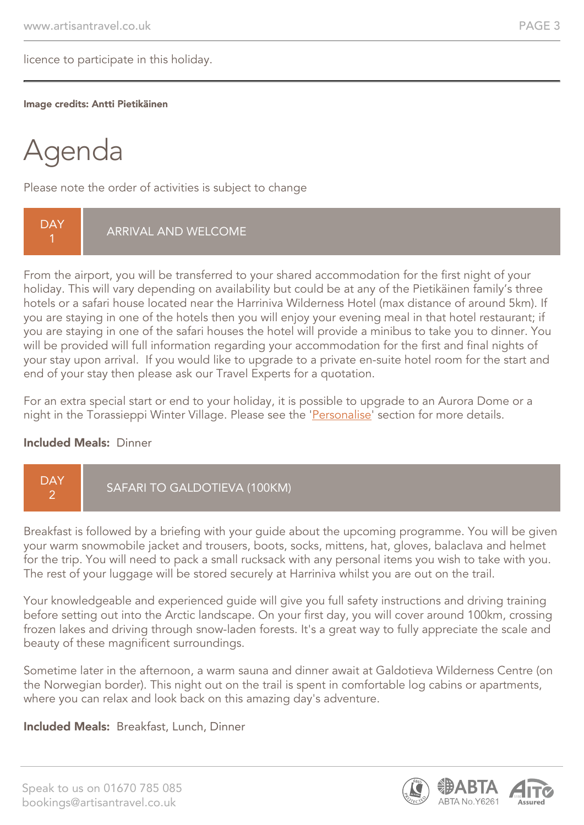licence to participate in this holiday.

#### Image credits: Antti Pietikäinen

# Agenda

Please note the order of activities is subject to change

**DAY** 1 ARRIVAL AND WELCOME

From the airport, you will be transferred to your shared accommodation for the first night of your holiday. This will vary depending on availability but could be at any of the Pietikäinen family's three hotels or a safari house located near the Harriniva Wilderness Hotel (max distance of around 5km). If you are staying in one of the hotels then you will enjoy your evening meal in that hotel restaurant; if you are staying in one of the safari houses the hotel will provide a minibus to take you to dinner. You will be provided will full information regarding your accommodation for the first and final nights of your stay upon arrival. If you would like to upgrade to a private en-suite hotel room for the start and end of your stay then please ask our Travel Experts for a quotation.

For an extra special start or end to your holiday, it is possible to upgrade to an Aurora Dome or a night in the Torassieppi Winter Village. Please see the 'Personalise' section for more details.

#### Included Meals: Dinner



Breakfast is followed by a briefing with your guide about the upcoming programme. You will be given your warm snowmobile jacket and trousers, boots, socks, mittens, hat, gloves, balaclava and helmet for the trip. You will need to pack a small rucksack with any personal items you wish to take with you. The rest of your luggage will be stored securely at Harriniva whilst you are out on the trail.

Your knowledgeable and experienced guide will give you full safety instructions and driving training before setting out into the Arctic landscape. On your first day, you will cover around 100km, crossing frozen lakes and driving through snow-laden forests. It's a great way to fully appreciate the scale and beauty of these magnificent surroundings.

Sometime later in the afternoon, a warm sauna and dinner await at Galdotieva Wilderness Centre (on the Norwegian border). This night out on the trail is spent in comfortable log cabins or apartments, where you can relax and look back on this amazing day's adventure.

#### Included Meals: Breakfast, Lunch, Dinner



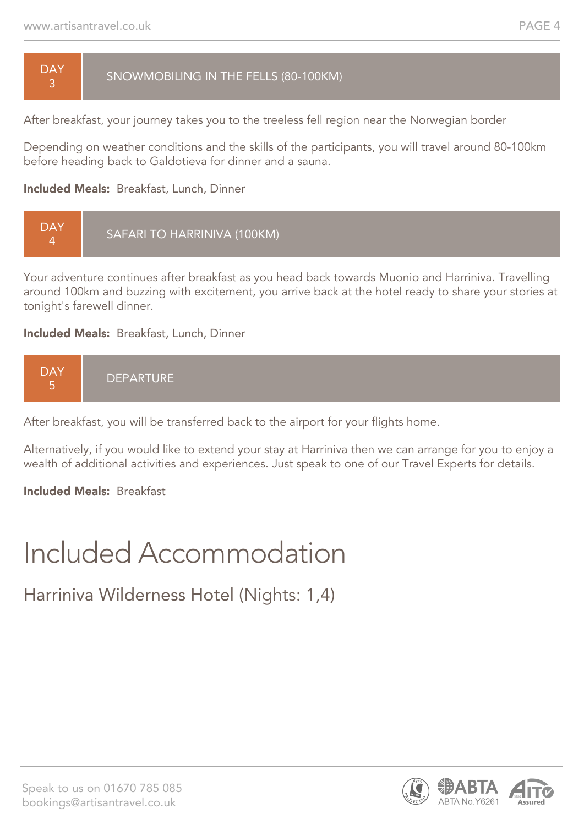**DAY** 3

#### SNOWMOBILING IN THE FELLS (80-100KM)

After breakfast, your journey takes you to the treeless fell region near the Norwegian border

Depending on weather conditions and the skills of the participants, you will travel around 80-100km before heading back to Galdotieva for dinner and a sauna.

#### Included Meals: Breakfast, Lunch, Dinner



Your adventure continues after breakfast as you head back towards Muonio and Harriniva. Travelling around 100km and buzzing with excitement, you arrive back at the hotel ready to share your stories at tonight's farewell dinner.

#### Included Meals: Breakfast, Lunch, Dinner



After breakfast, you will be transferred back to the airport for your flights home.

Alternatively, if you would like to extend your stay at Harriniva then we can arrange for you to enjoy a wealth of additional activities and experiences. Just speak to one of our Travel Experts for details.

#### Included Meals: Breakfast

## Included Accommodation

Harriniva Wilderness Hotel (Nights: 1,4)



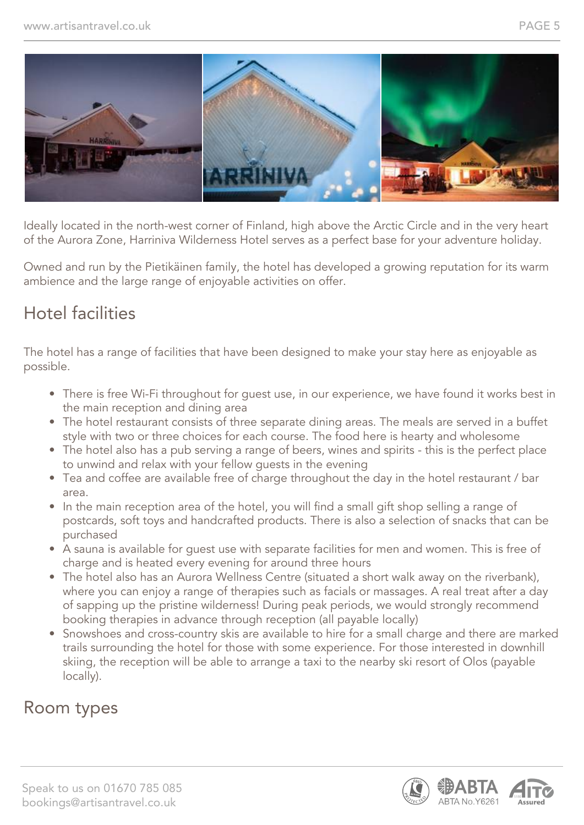

Ideally located in the north-west corner of Finland, high above the Arctic Circle and in the very heart of the Aurora Zone, Harriniva Wilderness Hotel serves as a perfect base for your adventure holiday.

Owned and run by the Pietikäinen family, the hotel has developed a growing reputation for its warm ambience and the large range of enjoyable activities on offer.

### Hotel facilities

The hotel has a range of facilities that have been designed to make your stay here as enjoyable as possible.

- There is free Wi-Fi throughout for guest use, in our experience, we have found it works best in the main reception and dining area
- The hotel restaurant consists of three separate dining areas. The meals are served in a buffet style with two or three choices for each course. The food here is hearty and wholesome
- The hotel also has a pub serving a range of beers, wines and spirits this is the perfect place to unwind and relax with your fellow guests in the evening
- Tea and coffee are available free of charge throughout the day in the hotel restaurant / bar area.
- In the main reception area of the hotel, you will find a small gift shop selling a range of postcards, soft toys and handcrafted products. There is also a selection of snacks that can be purchased
- A sauna is available for guest use with separate facilities for men and women. This is free of charge and is heated every evening for around three hours
- The hotel also has an Aurora Wellness Centre (situated a short walk away on the riverbank), where you can enjoy a range of therapies such as facials or massages. A real treat after a day of sapping up the pristine wilderness! During peak periods, we would strongly recommend booking therapies in advance through reception (all payable locally)
- Snowshoes and cross-country skis are available to hire for a small charge and there are marked trails surrounding the hotel for those with some experience. For those interested in downhill skiing, the reception will be able to arrange a taxi to the nearby ski resort of Olos (payable locally).

### Room types

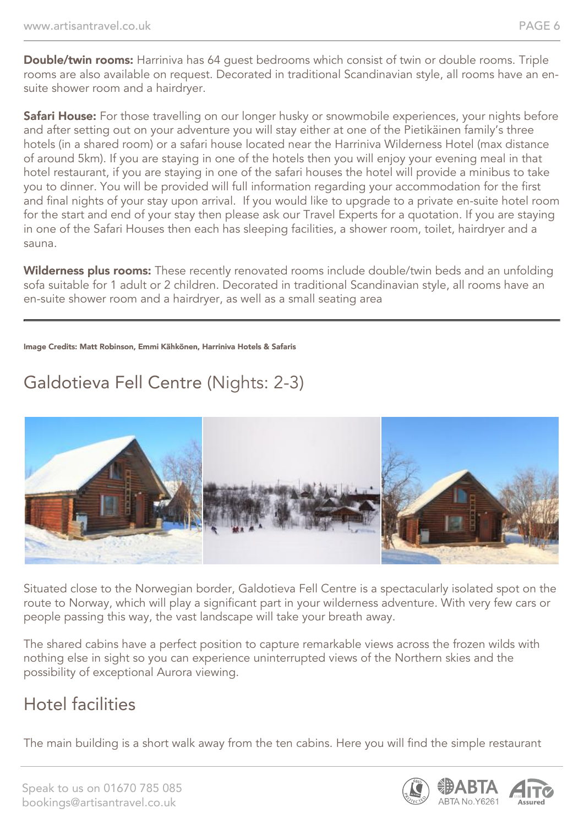Double/twin rooms: Harriniva has 64 quest bedrooms which consist of twin or double rooms. Triple rooms are also available on request. Decorated in traditional Scandinavian style, all rooms have an ensuite shower room and a hairdryer.

Safari House: For those travelling on our longer husky or snowmobile experiences, your nights before and after setting out on your adventure you will stay either at one of the Pietikäinen family's three hotels (in a shared room) or a safari house located near the Harriniva Wilderness Hotel (max distance of around 5km). If you are staying in one of the hotels then you will enjoy your evening meal in that hotel restaurant, if you are staying in one of the safari houses the hotel will provide a minibus to take you to dinner. You will be provided will full information regarding your accommodation for the first and final nights of your stay upon arrival. If you would like to upgrade to a private en-suite hotel room for the start and end of your stay then please ask our Travel Experts for a quotation. If you are staying in one of the Safari Houses then each has sleeping facilities, a shower room, toilet, hairdryer and a sauna.

Wilderness plus rooms: These recently renovated rooms include double/twin beds and an unfolding sofa suitable for 1 adult or 2 children. Decorated in traditional Scandinavian style, all rooms have an en-suite shower room and a hairdryer, as well as a small seating area

#### Image Credits: Matt Robinson, Emmi Kähkönen, Harriniva Hotels & Safaris

## Galdotieva Fell Centre (Nights: 2-3)



Situated close to the Norwegian border, Galdotieva Fell Centre is a spectacularly isolated spot on the route to Norway, which will play a significant part in your wilderness adventure. With very few cars or people passing this way, the vast landscape will take your breath away.

The shared cabins have a perfect position to capture remarkable views across the frozen wilds with nothing else in sight so you can experience uninterrupted views of the Northern skies and the possibility of exceptional Aurora viewing.

### Hotel facilities

The main building is a short walk away from the ten cabins. Here you will find the simple restaurant

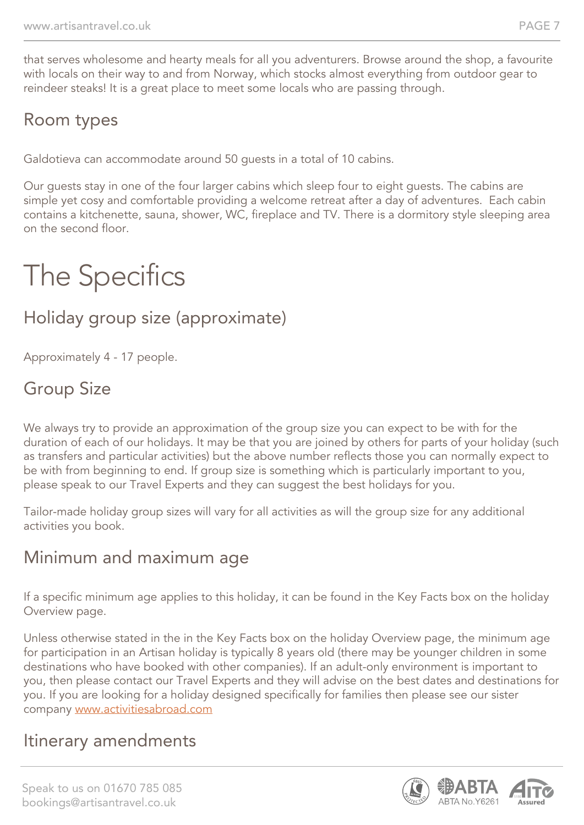that serves wholesome and hearty meals for all you adventurers. Browse around the shop, a favourite with locals on their way to and from Norway, which stocks almost everything from outdoor gear to reindeer steaks! It is a great place to meet some locals who are passing through.

## Room types

Galdotieva can accommodate around 50 guests in a total of 10 cabins.

Our guests stay in one of the four larger cabins which sleep four to eight guests. The cabins are simple yet cosy and comfortable providing a welcome retreat after a day of adventures. Each cabin contains a kitchenette, sauna, shower, WC, fireplace and TV. There is a dormitory style sleeping area on the second floor.

# The Specifics

## Holiday group size (approximate)

Approximately 4 - 17 people.

## Group Size

We always try to provide an approximation of the group size you can expect to be with for the duration of each of our holidays. It may be that you are joined by others for parts of your holiday (such as transfers and particular activities) but the above number reflects those you can normally expect to be with from beginning to end. If group size is something which is particularly important to you, please speak to our Travel Experts and they can suggest the best holidays for you.

Tailor-made holiday group sizes will vary for all activities as will the group size for any additional activities you book.

#### Minimum and maximum age

If a specific minimum age applies to this holiday, it can be found in the Key Facts box on the holiday Overview page.

Unless otherwise stated in the in the Key Facts box on the holiday Overview page, the minimum age for participation in an Artisan holiday is typically 8 years old (there may be younger children in some destinations who have booked with other companies). If an adult-only environment is important to you, then please contact our Travel Experts and they will advise on the best dates and destinations for you. If you are looking for a holiday designed specifically for families then please see our sister company [www.activitiesabroad.com](http://www.activitiesabroad.com/)

#### Itinerary amendments